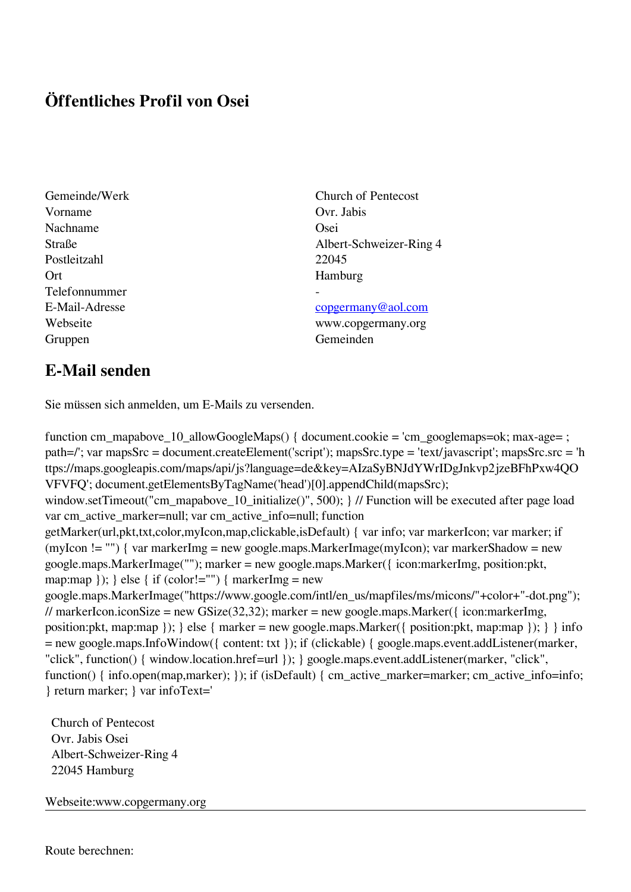## **Öffentliches Profil von Osei**

Vorname Ovr Jabis Nachname **Osei** Postleitzahl 22045 Ort Hamburg Telefonnummer - Gruppen Gemeinden Gemeinden Gemeinden Gemeinden Gemeinden Gemeinden Gemeinden Gemeinden Gemeinden Gemeinden G

## Gemeinde/Werk Church of Pentecost Straße Albert-Schweizer-Ring 4

## E-Mail-Adresse [copgermany@aol.com](mailto:copgermany@aol.com)

Webseite www.copgermany.org

## **E-Mail senden**

Sie müssen sich anmelden, um E-Mails zu versenden.

function cm\_mapabove\_10\_allowGoogleMaps() { document.cookie = 'cm\_googlemaps=ok; max-age= ; path=/'; var mapsSrc = document.createElement('script'); mapsSrc.type = 'text/javascript'; mapsSrc.src = 'h ttps://maps.googleapis.com/maps/api/js?language=de&key=AIzaSyBNJdYWrIDgJnkvp2jzeBFhPxw4QO VFVFQ'; document.getElementsByTagName('head')[0].appendChild(mapsSrc); window.setTimeout("cm\_mapabove\_10\_initialize()", 500); } // Function will be executed after page load var cm\_active\_marker=null; var cm\_active\_info=null; function getMarker(url,pkt,txt,color,myIcon,map,clickable,isDefault) { var info; var markerIcon; var marker; if (myIcon != "") { var markerImg = new google.maps.MarkerImage(myIcon); var markerShadow = new google.maps.MarkerImage(""); marker = new google.maps.Marker({ icon:markerImg, position:pkt, map:map  $\}$ ;  $\}$  else  $\{$  if (color!="")  $\{$  markerImg = new google.maps.MarkerImage("https://www.google.com/intl/en\_us/mapfiles/ms/micons/"+color+"-dot.png"); // markerIcon.iconSize = new GSize(32,32); marker = new google.maps.Marker({ $i$ con:markerImg, position:pkt, map:map }); } else { marker = new google.maps.Marker({ position:pkt, map:map }); } } info = new google.maps.InfoWindow({ content: txt }); if (clickable) { google.maps.event.addListener(marker, "click", function() { window.location.href=url }); } google.maps.event.addListener(marker, "click", function() { info.open(map,marker); }); if (isDefault) { cm\_active\_marker=marker; cm\_active\_info=info; } return marker; } var infoText='

 Church of Pentecost Ovr. Jabis Osei Albert-Schweizer-Ring 4 22045 Hamburg

Webseite:www.copgermany.org